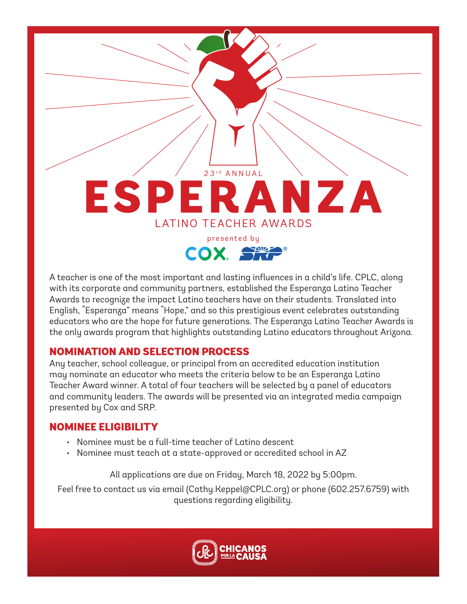

A teacher is one of the most important and lasting influences in a child's life. CPLC, along with its corporate and community partners, established the Esperanza Latino Teacher Awards to recognize the impact Latino teachers have on their students. Translated into English, "Esperanza" means "Hope," and so this prestigious event celebrates outstanding educators who are the hope for future generations. The Esperanza Latino Teacher Awards is the only awards program that highlights outstanding Latino educators throughout Arizona.

#### NOMINATION AND SELECTION PROCESS

Any teacher, school colleague, or principal from an accredited education institution may nominate an educator who meets the criteria below to be an Esperanza Latino Teacher Award winner. A total of four teachers will be selected by a panel of educators and community leaders. The awards will be presented via an integrated media campaign presented by Cox and SRP.

## NOMINEE ELIGIBILITY

- Nominee must be a full-time teacher of Latino descent
- Nominee must teach at a state-approved or accredited school in AZ

All applications are due on Friday, March 18, 2022 by 5:00pm.

Feel free to contact us via email (Cathy.Keppel@CPLC.org) or phone (602.257.6759) with questions regarding eligibility.

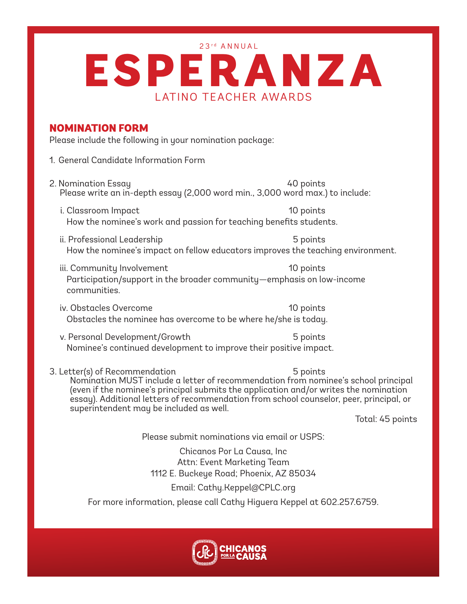23<sup>rd</sup> ANNUAL

# LATINO TEACHER AWARDS ESPERANZA

### NOMINATION FORM

Please include the following in your nomination package:

- 1. General Candidate Information Form
- 2. Nomination Essay 40 points Please write an in-depth essay (2,000 word min., 3,000 word max.) to include:
	- i. Classroom Impact 10 points How the nominee's work and passion for teaching benefits students.
	- ii. Professional Leadership 5 points How the nominee's impact on fellow educators improves the teaching environment.
	- iii. Community Involvement 10 points Participation/support in the broader community—emphasis on low-income communities.
	- iv. Obstacles Overcome 10 points Obstacles the nominee has overcome to be where he/she is today.
	- v. Personal Development/Growth 5 points Nominee's continued development to improve their positive impact.
- 3. Letter(s) of Recommendation 5 points

Nomination MUST include a letter of recommendation from nominee's school principal (even if the nominee's principal submits the application and/or writes the nomination essay). Additional letters of recommendation from school counselor, peer, principal, or superintendent may be included as well.

Total: 45 points

Please submit nominations via email or USPS:

Chicanos Por La Causa, Inc Attn: Event Marketing Team 1112 E. Buckeye Road; Phoenix, AZ 85034

#### Email: Cathy.Keppel@CPLC.org

For more information, please call Cathy Higuera Keppel at 602.257.6759.